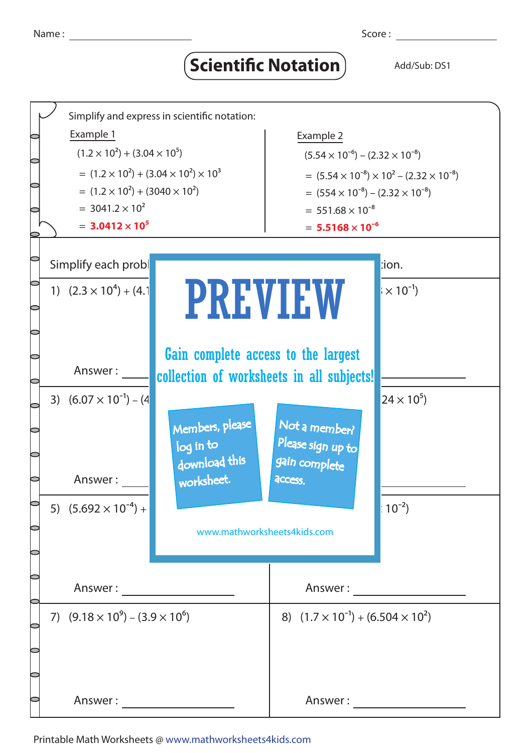## **Scientific Notation** Add/Sub: DS1



Printable Math Worksheets @ www.mathworksheets4kids.com